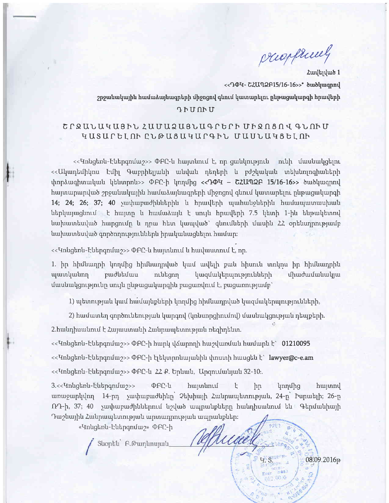propriety

 $\frac{1}{2}$  $-08.09.2016$ p

<'!

\.'

 $4.8$ 

Հավելված 1 << Ro Text C2U 72 F15/16-16>>\* bubluqpnd  $2$ րջանակային համաձայնագրերի միջոցով գնում կատարելու ընթացակարգի հրավերի

## *Rhunhu*

# $C$  $C$  $R$ UUU $U$ 4U3hl  $Z$ UUU $Q$ U3U3luqrb $C$ h UhQn3nqqlum qUSUf bI.nh eLOUSUrrUf qhL UUULUqtbI.nh

 $\ll$ Կոնցեռն-Էներգոմաշ>> ՓԲԸ-ն հայտնում է, որ ցանկություն - ունի մասնակցելու  $\ll$ Ակադեմիկոս էմիլ Գաբրիելյանի անվան դեղերի և բժշկական տեխնոլոգիաների  $\theta$  unpotuq hunuquut qtrupntus ORC-h lnnung << POH - GZUMQP 15/16-16>> burblurqpnq  $h$ այտարարված շրջանակային համաձայնագրերի միջոցով գնում կատարելու ընթացակարգի 14; 24; 26; 37; 40 yuuhuupudhuutunhu l hpuultinh uuuhuu uphuu huuluuquunuu uhuutu ներկայացնում է հայտը և համաձայն է սույն հրավերի 7.5 կետի 1-ին ենթակետով  $t$ սախատեսված հարցումը և դրա հետ կապված՝ գնումների մասին 22 օրենսդրությամբ hupuuntuyud qnpdnnntpmtuttpu hpuyutungutnu hurum:

<< Ynughnu-hurpandu 7>> @PC-u hurpuuntu u hurduuunnu k, np.

l

1. իր հիմնադրի կողմից հիմնադրված կամ ավելի քան հիսուն տոկոս իր հիմնադրին  $q$ արտկանող բաժնեմաս ունեցող կազմակերպությունների միաժամանակյա  $d$ ասնակցությունը սույն ընթացակարգին բացառվում է, բացառությամբ՝

1) պետության կամ համայնքների կողմից հիմնադրված կազմակերպությունների,

2) hամատեղ գործունեության կարգով (կոնսորցիումով) մասնակցության դեպքերի.

 $2$ .hանդիսանում է Հայաստանի Հանրապետության ռեզիդենտ.

 $\ll$ -<code>Gmu</code>gեռն-Էներգոմաշ>> ՓԲԸ-ի հարկ վՃարողի հաշվառման համարն է` 01210095

<< Ynugthu-hutpqnuu >>> DFC-h tatunntuu uu uu huunh huugtu t' lawyer@c-e.am

<< Vinugtinu-hutingnique >> DAC-u 22 P. bplumu, Upqnilumuluru 32-10:.

3.<<Intigtinti-htrahuniting of the hurdle of the term in the hurdle hurdle hurdle unuyunululnn 14-pn yuu huruduhun 2 thuhuu Luulunuu tunu puu 24-p Fupurtin; 26-p G. 37; 40 yuu huruud putut haluud urupurur hurulpuur hurulpuri halaa kuraa haluurid  $\Lambda$ աշնային Հանրապետության արտադրության ապրանքներ։

t

«*Vinugtinu-but ng mulury*» **@ff-h** 

Suophu F. Թաղևոսյան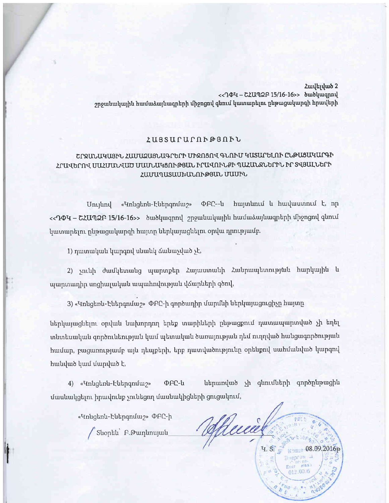Հավելված 2 << TOY - CZU 72 F 15/16-16>> owolunqual շրջանակային համաձայնագրերի միջոցով գնում կատարելու ընթացակարգի հրավերի

#### *L*USSUCUCOF@SOFL

## ՇՐՋԱՆԱԿԱՑԻՆ ՀԱՄԱՁԱՑՆԱԳՐԵՐԻ ՄԻՋՈՑՈՎ ԳՆՈՒՄ ԿԱՏԱՐԵԼՈՒ ԸՆԹԱՑԱԿԱՐԳԻ ՀՐԱՎԵՐՈՎ ՍԱՀՄԱՆՎԱԾ ՄԱՄՆԱԿՑՈՒԹՅԱՆ ԻՐԱՎՈՒՆՔԻ ՊԱՀԱՆՋՆԵՐԻՆ ԻՐ ՏՎՅԱԼՆԵՐԻ ՀԱՄԱՊԱՏԱՍԽԱՆՈՒԹՅԱՆ ՄԱՍԻՆ

ՓԲԸ--ն հայտնում և հավաստում է, որ «Կոնցեռն-Էներգոմաշ» Unyuny <<**ԴΦԿ – ՇՀԱՊՁԲ 15/16-16>>** ծածկագրով շրջանակային համաձայնագրերի միջոցով գնում կատարելու ընթացակարգի հայտը ներկայացնելու օրվա դրությամբ.

1) դատական կարգով սնանկ ձանաչված չէ,

2) չունի ժամկետանց պարտքեր Հայաստանի Հանրապետության հարկային և պարտադիր սոցիալական ապահովության վձարների գծով,

3) «Կոնցեոն-Էներգոմաշ» ՓԲԸ-ի գործադիր մարմնի ներկայացուցիչը հայտը

ներկայացնելու օրվան նախորդող երեք տարիների ընթացքում դատապարտված չի եղել տնտեսական գործունեության կամ պետական ծառայության դեմ ուղղված հանցագործության համար, բացառությամբ այն դեպքերի, երբ դատվածությունը օրենքով սահմանված կարգով հանված կամ մարված է,

ներառված չի գնումների գործընթացին 4) «Կոնցեռն-Էներգոմաշ» **OFC-u** մասնակցելու իրավունք չունեցող մասնակիցների ցուցակում,

«Կոնցեոն-Էներգոմաշ» ՓԲԸ-ի

Suoptiu F. Gununujui

heice 08.09.20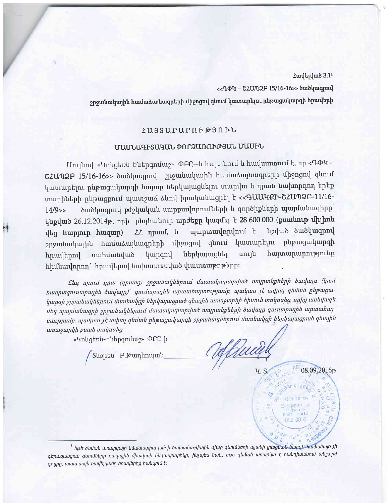<< ԴՓԿ - ՇՀԱՊՁԲ 15/16-16>> ծածկագրով

շրջանակային համաձայնագրերի միջոցով գնում կատարելու ընթացակարգի հրավերի

## ZUSSUPUPNF@SNFL

# ՄԱՄՆԱԳԻՏԱԿԱՆ ՓՈՐՁԱՌՈՒԹՅԱՆ ՄԱՍԻՆ

Մույնով «Կոնցեռն-Էներգոմաշ» ՓԲԸ--ն հայտնում և հավաստում է, որ  $\langle \texttt{P}\Phi \Psi \rangle$ ՇՀԱՊՁԲ 15/16-16>> ծածկագրով շրջանակային համաձայնագրերի միջոցով գնում կատարելու ընթացակարգի հայտը ներկայացնելու տարվա և դրան նախորդող երեք տարիների ընթացքում պատշաձ ձևով իրականացրել է << ԳԱԱԿՔԻ-ՇՀԱՊՁԲ-11/16ծածկագրով բժշկական սարքավորումների և գործիքների պայմանագիրը`  $14/9$ >> կնքված 26.12.2014թ, որի ընդհանուր արժեքը կազմել է 28 600 000 (<mark>քսանութ միլիոն</mark> նշված ծածկագրով պարտավորվում է  $22$  npuul,  $\mu$ վեց հարյուր հազար) շրջանակային համաձայնագրերի միջոցով գնում կատարելու ընթացակարգի սույն հայտարարությունը կարգով ներկայացնել հրավերով սահմանված հիմնավորող` հրավերով նախատեսված փաստաթղթերը։

Ընդ որում դրա (դրանց) շրջանակներում մատակարարված ապրանքների ծավալը (կամ hանրագումարային ծավալը)՝ գումարային արտահայտությամբ, պակաս չէ տվյալ գնման ընթացակարգի շրջանակներում մասնակցի ներկայացրած գնային առաջարկի հիսուն տոկոսից, որից առնվազն մեկ պայմանագրի շրջանակներում մատակարարված ապրանքների ծավալը գումարային արտահայտությամբ, պակաս չէ տվյալ գնման ընթացակարգի շրջանակներում մասնակցի ներկայացրած գնային առաջարկի քսան տոկոսից։

«Կոնցեռն-Էներգոմաշ» ՓԲԸ-ի

08.09.2016р

<sup>1</sup> եթե գնման առարկայի նմանագրիպ խմբի նախահաշվային գինը գնումների պլանի լրացմ<del>ան կարգի համ</del>աձայն չի գերազանցում գնումների բազային միավորի հնգապատիկը, ինչպես նաև, եթե գնման առարկա է հանդիսանում անշարժ գույքը, ապա սույն հավելվածը հրավերից հանվում է։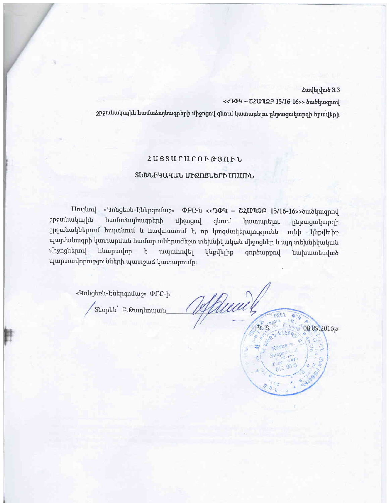<< R Q T - G Z U 7 2 F 15/16-16>> bwdywqnnu

շրջանակային համաձայնագրերի միջոցով գնում կատարելու ընթացակարգի հրավերի

## zuSsufurnho3nhr,

## ՏԵԽՆԻԿԱԿԱՆ ՄԻՋՈՑՆԵՐԻ ՄԱՍԻՆ

Unutrah «Կոնցեոն-էներգոմաշ» ՓԲԸ-ն  $\langle$ -ԴՓԿ - ՇՀԱՊՁԲ 15/16-16>>ծածկագրով<br>2րջանակային համաձայնագրերի միջոցով գնում կատառելու ընթացակայոցի huuuduuduuqntiph unongni quni yuunuptini pupugurunqh 2p2անակներում հայտնում և հավաստում է, որ կազմակերպությունն ունի կնքվելիք պայմանագրի կատարման համար անհրաժեշտ տեխնիկական միջոցներ և այդ տեխնիկական միջոցներով հնարավոր է ապահովել կնքվելիք գործարքով նախատեսված պարտավորությունների պատշաձ կատարումը։

«Կոնցեոն-Էներգոմաշ» ՓԲԸ-ի

Suophu F.Gununujuu

Rua 08.09.2016p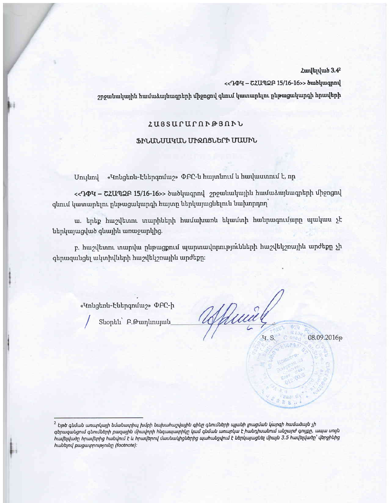<< TOH - CZUNQF 15/16-16>> owolungpny

շրջանակային համաձայնագրերի միջոցով գնում կատարելու ընթացակարգի հրավերի

## ZUSSUCUCOP@SOPL

#### ՖԻՆԱՆՍԱԿԱՆ ՄԻՋՈՑՆԵՐԻ ՄԱՍԻՆ

«Կոնցեռն-Էներգոմաշ» ՓԲԸ-ն հայտնում և հավաստում է, որ Մույնով

<< RPU - C2Un2F 15/16-16>> ծածկագրով 2pջանակային համաձայնագրերի միջոցով գնում կատարելու ընթացակարգի հայտը ներկայացնելուն նախորդող

ա. երեք հաշվետու տարիների համախառն եկամտի հանրագումարը պակաս չէ ներկայացված գնային առաջարկից.

բ. հաշվետու տարվա ընթացքում պարտավորությունների հաշվեկշռային արժեքը չի գերազանցել ակտիվների հաշվեկշռային արժեքը։

«Կոնցեոն-Էներգոմաշ» ՓԲԸ-ի

Suophu A. Gununujulu

Quia 08.09.2016р **4. S.**  $C$  ased

Hua Ws  $R_{B}$ 

 $^2$  Եթե գնման առարկայի նմանատիպ խմբի նախահաշվային գինը գնումների պլանի լրացման կարգի համաձայն չի գերազանցում գնումների բազային միավորի հնգապատիկը կամ գնման առարկա է հանդիսանում անշարժ գույքը, ապա սույն hավելվածը hրավերից hանվում է և hրավերով մասնակիցներից պահանջվում է ներկայացնել միայն 3.5 hավելվածը՝ վերջինից huuut puguuppnuajnuun (footnote):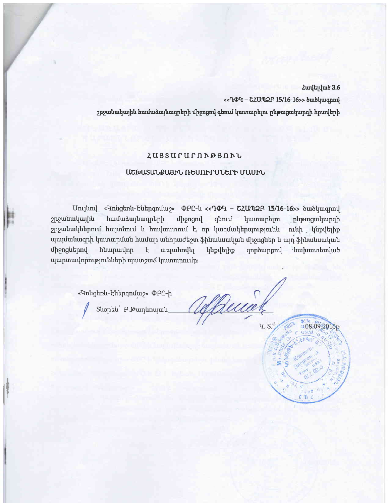<< TO4 - C2Un2 F 15/16-16>> owolungpny

շրջանակային համաձայնագրերի միջոցով գնում կատարելու ընթացակարգի հրավերի

## **ZUSSUCUCOP@SOPL**

## ԱՇԽԱՏԱՆՔԱՅԻՆ ՌԵՍՈՒՐՄՆԵՐԻ ՄԱՍԻՆ

«Կոնցեոն-Էներգոմաշ» ΦԲԸ-ն << ԴФЧ - ՇՀԱՊՁԲ 15/16-16>> ծածկագրով Unuund համաձայնագրերի շրջանակային uppngnu qunul կատարելու **ընթացակարգի** շրջանակներում հայտնում և հավաստում է, որ կազմակերպությունն ունի կնքվելիք պայմանագրի կատարման համար անհրաժեշտ ֆինանսական միջոցներ և այդ ֆինանսական huupuulnp միջոցներով ţ. ապահովել կնքվելիք qnpowppny նախատեսված պարտավորությունների պատշաձ կատարումը։

«<sup>T</sup>Inugtnu-Futpqnum2» PFC-h

Suophu F. Pununujuu

Ruce **4. S.** 

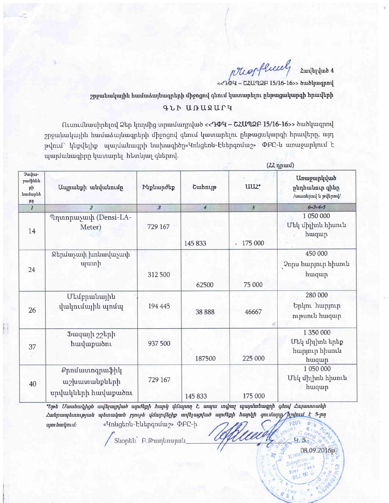prophenel Հավելված 4

<< ԴՓԿ - ՇՀԱՊՁԲ 15/16-16>> ծածկագրով

 $(22$ npuul)

**H.S.** 

 $00$  $\mathbf{O}$ 

08.09.2016р

 $2$ րջանակային համաձայնագրերի միջոցով գնում կատարելու ընթացակարգի հրավերի

#### qLh UIlUQUfrr

fltumrilluuhnhf",l ehp \nqilhg upruriur4n lurb <<'IOq - GZU'TIatr I5/L6-16>> burb\urqpn{  $2$ րջանակային համաձայնագրերի միջոցով գնում կատարելու ընթացակարգի հրավերը, այդ pվում` կնքվելիք պայմանագրի նախագիծը«Կոնցեոն-Էներգոմաշ» ՓԲԸ-ն առաջարկում է պայմանագիրը կատարել հետևյալ գներով.

| 2whw-<br>բաժիննե<br>րի<br>համարնե<br><b>PP</b> | Ապրանքի անվանումը                                    | <b>Fuphundup</b>     | Cunhnig        | UU2*          | <b>Ununguphuud</b><br>ընդհանուր գինը<br>/www.php.php.php.php? |
|------------------------------------------------|------------------------------------------------------|----------------------|----------------|---------------|---------------------------------------------------------------|
| $\overline{I}$                                 | $\overline{2}$                                       | $\boldsymbol{\beta}$ | $\overline{4}$ | 5             | $6 = 3 + 4 + 5$                                               |
| 14                                             | Պղտորաչափ (Densi-LA-<br>Meter)                       | 729 167              | 145 833        | 175 000<br>¥. | 1 050 000<br>Մեկ միլիոն հիսուն<br>huqup                       |
| 24                                             | Ջերմաչափ խոնավաչափ<br><i>u</i> uunh                  | 312 500              | 62500          | 75 000        | 450 000<br>Չորս հարյուր հիսուն<br>huiquip                     |
| 26                                             | Մեմբրանային<br>վակումային պոմպ                       | 194 445              | 38 8 8 8       | 46667         | 280 000<br>Երկու հարյուր<br>ութսուն հազար                     |
| 37                                             | Ֆազայի շշերի<br>huulupuon                            | 937 500              | 187500         | 225 000       | 1 350 000<br>Մեկ միլիոն երեք<br>հարյուր հիսուն<br>huqup       |
| 40                                             | Քրոմատոգրաֆիկ<br>աշխատանքների<br>սրվակների հավաքածու | 729 167              | 145 833        | 175 000       | 1 050 000<br>Մեկ միլիոն հիսուն<br>huqup                       |

 $\bm{v}$ bp $\bm{t}$  Uwuhul $p$ lgh wu $\bm{l}$ kuga $\bm{v}$ lunda buqh $\bm{p}$  h un $p$ l yang t $\bm{u}$  nyuttupuqu $\bm{v}$ Հանրապետության պետական բյուջե վձարվելիք ավելացված արժեքի հարկի  $5 - p\eta$ «Կոնցեոն-Էներգոմաշ» ՓԲԸ-ի ujni buli pitel

Shophu F. Pununujulu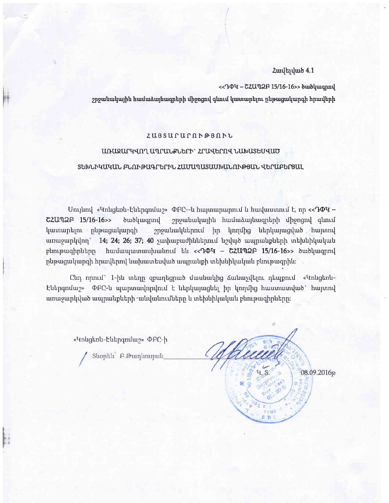#### **Z**ավելված 4.1

<< TOU - GZUT2F 15/16-16>> outpuquaque

շրջանակային համաձայնագրերի միջոցով գնում կատարելու ընթացակարգի հրավերի

#### 2U3 SUrUf n hrd3 nhL

## unugufqq,n"l. u4lfur"PLbfh' zfuqbfnq, Lutuusbuquo

#### sbtuLhququL FLnhousrrbfhL zutru4rusuutuuLnhfdSuL qbfuFbrBur.

Unyund «Կոնցեոն-Էներգոմաշ» ՓԲԸ--ն հայտարարում և հավաստում է, որ << **ԴՓԿ** - $CZUM2F$  15/16-16>>  $\delta$  tubuq pmulququrul 2p2 pand hulungquruq timping timbul  $\text{I}$ ատարելու ընթացակարգի 2րջանակներում իր կողմից ներկայացված հայտով  $unuqunlq$ վող` 14; 24; 26; 37; 40 չափաբաժիններում նշված ապրանքների տեխնիկական plinipuiqhputipp huituiquinuupuutinit tu <<<<rr/>**Quinter 15/16-16>>** burbluiqpnt  $p$ նթացակարգի հրավերով նախատեսված ապրանքի տեխնիկական բնութագրին։

Cun որում` 1-ին տեղը զբաղեցրած մասնակից ձանաչվելու դեպքում «Կոնցեոն-Էներգոմաշ» ՓԲԸ-ն պարտավորվում է ներկայացնել իր կողմից հաստատված՝ հայտով  $u$ տաջարկված ապրանքների  $\cdot$ անվանումները և տեխնիկական բնութագիրները։

«Կոնցեոն-Էներգոմաշ» ՓԲԸ-ի

l'

Shophu P. Թաղևոսյան

08.09.2016р  $\mathbf{f}_1$   $\mathbf{f}_2$